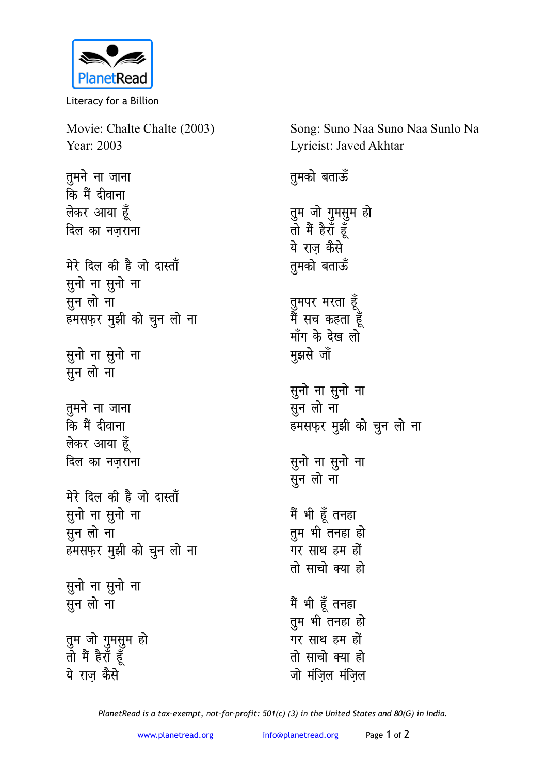

Literacy for a Billion

Movie: Chalte Chalte (2003) Year: 2003 Song: Suno Naa Suno Naa Sunlo Na Lyricist: Javed Akhtar <u>त</u>मने ना जाना **कि** मैं दीवाना **लेकर आया** हूँ **दिल का नजराना** मेरे दिल की है जो दास्ताँ **सूनो** ना सूनो ना ्<br>सून लो ना हमसफ़र मुझी को चुन लो ना सुनो ना सुनो ना **सून लो** ना **तूमने** ना जाना कि मैं दीवाना **लेकर आया** हूँ <u>दिल का नजराना</u> मेरे दिल की है जो दास्ताँ सुनो ना सुनो ना **सून** लो ना हमसफ़र मुझी को चुन लो ना सुनो ना सुनो ना **सून लो** ना तुम जो गुमसुम ह<del>ो</del> तो मैं हैराँ ह<mark>ू</mark>ँ ये राज कैसे **तुमको** बताऊँ तुम जो गुमसुम हो **rks eSa gSjk¡ gw¡** ये राज कैसे **तुमको** बताऊँ तुमपर मरता **हूँ** मैं सच कहता हू<mark>ँ</mark> माँग के देख लो **H**झसे जॉ सुनो ना सुनो ना सन लो ना हमसफ़र मुझी को चुन लो ना सुनो ना सुनो ना <u>सन लो</u> ना मैं भी हूँ तनहा तुम भी तनहा हो गर साथ हम हों <u>तो साचो क्या हो</u> मैं भी हूँ तनहा तुम भी तनहा हो गर साथ हम हों <u>तो साचो क्या हो</u> जो मंजिल मंजिल

*PlanetRead is a tax-exempt, not-for-profit: 501(c) (3) in the United States and 80(G) in India.*